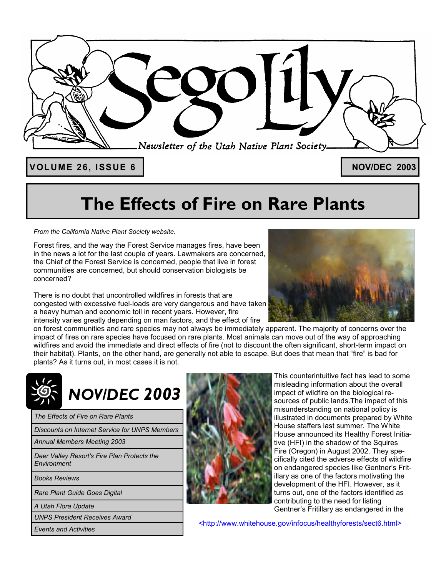

VOLUME 26, ISSUE 6 **No. 2003** 

## **The Effects of Fire on Rare Plants**

*From the California Native Plant Society website.* 

Forest fires, and the way the Forest Service manages fires, have been in the news a lot for the last couple of years. Lawmakers are concerned, the Chief of the Forest Service is concerned, people that live in forest communities are concerned, but should conservation biologists be concerned?

There is no doubt that uncontrolled wildfires in forests that are congested with excessive fuel-loads are very dangerous and have taken a heavy human and economic toll in recent years. However, fire intensity varies greatly depending on man factors, and the effect of fire



on forest communities and rare species may not always be immediately apparent. The majority of concerns over the impact of fires on rare species have focused on rare plants. Most animals can move out of the way of approaching wildfires and avoid the immediate and direct effects of fire (not to discount the often significant, short-term impact on their habitat). Plants, on the other hand, are generally not able to escape. But does that mean that "fire" is bad for plants? As it turns out, in most cases it is not.

# *NOV/DEC 2003*

*The Effects of Fire on Rare Plants* 

*Discounts on Internet Service for UNPS Members* 

*Annual Members Meeting 2003* 

*Deer Valley Resort's Fire Plan Protects the Environment* 

*Books Reviews* 

*Rare Plant Guide Goes Digital* 

*A Utah Flora Update* 

*UNPS President Receives Award* 

*Events and Activities* 



This counterintuitive fact has lead to some misleading information about the overall impact of wildfire on the biological resources of public lands.The impact of this misunderstanding on national policy is illustrated in documents prepared by White House staffers last summer. The White House announced its Healthy Forest Initiative (HFI) in the shadow of the Squires Fire (Oregon) in August 2002. They specifically cited the adverse effects of wildfire on endangered species like Gentner's Fritillary as one of the factors motivating the development of the HFI. However, as it turns out, one of the factors identified as contributing to the need for listing Gentner's Fritillary as endangered in the

<http://www.whitehouse.gov/infocus/healthyforests/sect6.html>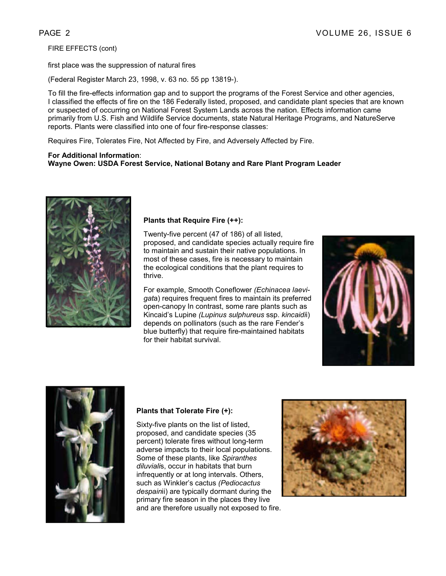FIRE EFFECTS (cont)

first place was the suppression of natural fires

(Federal Register March 23, 1998, v. 63 no. 55 pp 13819-).

To fill the fire-effects information gap and to support the programs of the Forest Service and other agencies, I classified the effects of fire on the 186 Federally listed, proposed, and candidate plant species that are known or suspected of occurring on National Forest System Lands across the nation. Effects information came primarily from U.S. Fish and Wildlife Service documents, state Natural Heritage Programs, and NatureServe reports. Plants were classified into one of four fire-response classes:

Requires Fire, Tolerates Fire, Not Affected by Fire, and Adversely Affected by Fire.

#### **For Additional Information**: **Wayne Owen: USDA Forest Service, National Botany and Rare Plant Program Leader**



#### **Plants that Require Fire (++):**

Twenty-five percent (47 of 186) of all listed, proposed, and candidate species actually require fire to maintain and sustain their native populations. In most of these cases, fire is necessary to maintain the ecological conditions that the plant requires to thrive.

For example, Smooth Coneflower *(Echinacea laevigat*a) requires frequent fires to maintain its preferred open-canopy In contrast, some rare plants such as Kincaid's Lupine *(Lupinus sulphureus* ssp. *kincaidi*i) depends on pollinators (such as the rare Fender's blue butterfly) that require fire-maintained habitats for their habitat survival.





#### **Plants that Tolerate Fire (+):**

Sixty-five plants on the list of listed, proposed, and candidate species (35 percent) tolerate fires without long-term adverse impacts to their local populations. Some of these plants, like *Spiranthes diluviali*s, occur in habitats that burn infrequently or at long intervals. Others, such as Winkler's cactus *(Pediocactus despain*ii) are typically dormant during the primary fire season in the places they live and are therefore usually not exposed to fire.

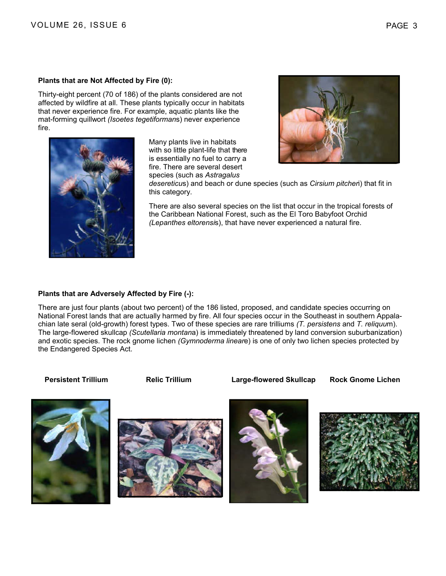Thirty-eight percent (70 of 186) of the plants considered are not affected by wildfire at all. These plants typically occur in habitats that never experience fire. For example, aquatic plants like the mat-forming quillwort *(Isoetes tegetiforman*s) never experience fire.

> Many plants live in habitats with so little plant-life that there is essentially no fuel to carry a fire. There are several desert species (such as *Astragalus*



*desereticu*s) and beach or dune species (such as *Cirsium pitcher*i) that fit in this category.

There are also several species on the list that occur in the tropical forests of the Caribbean National Forest, such as the El Toro Babyfoot Orchid *(Lepanthes eltorensi*s), that have never experienced a natural fire.

#### **Plants that are Adversely Affected by Fire (-):**

There are just four plants (about two percent) of the 186 listed, proposed, and candidate species occurring on National Forest lands that are actually harmed by fire. All four species occur in the Southeast in southern Appalachian late seral (old-growth) forest types. Two of these species are rare trilliums *(T. persistens* and *T. reliquu*m). The large-flowered skullcap *(Scutellaria montan*a) is immediately threatened by land conversion suburbanization) and exotic species. The rock gnome lichen *(Gymnoderma linear*e) is one of only two lichen species protected by the Endangered Species Act.

**Persistent Trillium Relic Trillium Large-flowered Skullcap Rock Gnome Lichen** 







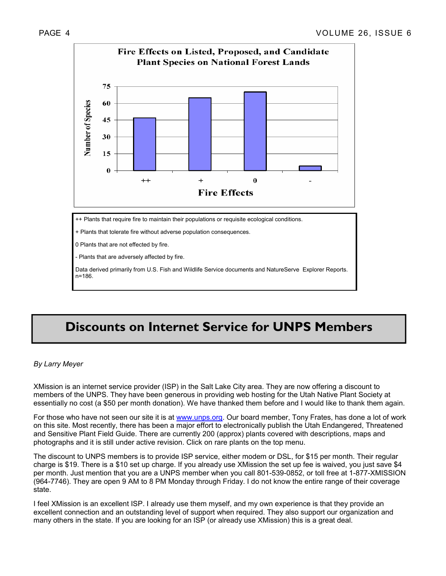

- Plants that are adversely affected by fire.

Data derived primarily from U.S. Fish and Wildlife Service documents and NatureServe Explorer Reports. n=186.

### **Discounts on Internet Service for UNPS Members**

#### *By Larry Meyer*

XMission is an internet service provider (ISP) in the Salt Lake City area. They are now offering a discount to members of the UNPS. They have been generous in providing web hosting for the Utah Native Plant Society at essentially no cost (a \$50 per month donation). We have thanked them before and I would like to thank them again.

For those who have not seen our site it is at www.unps.org. Our board member, Tony Frates, has done a lot of work on this site. Most recently, there has been a major effort to electronically publish the Utah Endangered, Threatened and Sensitive Plant Field Guide. There are currently 200 (approx) plants covered with descriptions, maps and photographs and it is still under active revision. Click on rare plants on the top menu.

The discount to UNPS members is to provide ISP service, either modem or DSL, for \$15 per month. Their regular charge is \$19. There is a \$10 set up charge. If you already use XMission the set up fee is waived, you just save \$4 per month. Just mention that you are a UNPS member when you call 801-539-0852, or toll free at 1-877-XMISSION (964-7746). They are open 9 AM to 8 PM Monday through Friday. I do not know the entire range of their coverage state.

I feel XMission is an excellent ISP. I already use them myself, and my own experience is that they provide an excellent connection and an outstanding level of support when required. They also support our organization and many others in the state. If you are looking for an ISP (or already use XMission) this is a great deal.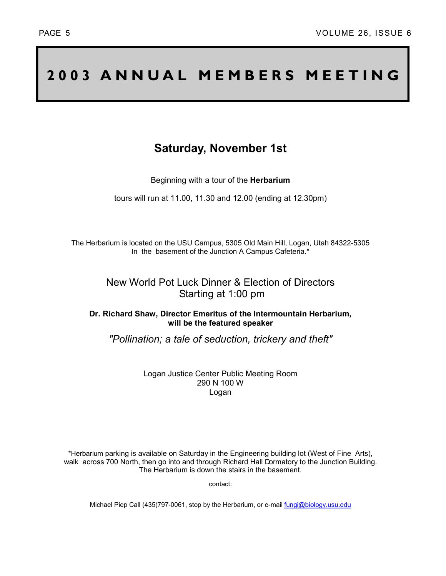## **2003 ANNUAL MEMBERS MEETING**

### **Saturday, November 1st**

Beginning with a tour of the **Herbarium**

tours will run at 11.00, 11.30 and 12.00 (ending at 12.30pm)

The Herbarium is located on the USU Campus, 5305 Old Main Hill, Logan, Utah 84322-5305 In the basement of the Junction A Campus Cafeteria.\*

#### New World Pot Luck Dinner & Election of Directors Starting at 1:00 pm

**Dr. Richard Shaw, Director Emeritus of the Intermountain Herbarium, will be the featured speaker** 

*"Pollination; a tale of seduction, trickery and theft"*

Logan Justice Center Public Meeting Room 290 N 100 W Logan

\*Herbarium parking is available on Saturday in the Engineering building lot (West of Fine Arts), walk across 700 North, then go into and through Richard Hall Dormatory to the Junction Building. The Herbarium is down the stairs in the basement.

contact:

Michael Piep Call (435)797-0061, stop by the Herbarium, or e-mail fungi@biology.usu.edu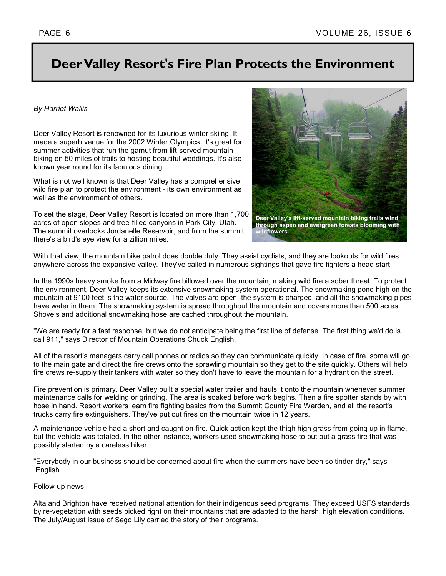### **Deer Valley Resort's Fire Plan Protects the Environment**

#### *By Harriet Wallis*

Deer Valley Resort is renowned for its luxurious winter skiing. It made a superb venue for the 2002 Winter Olympics. It's great for summer activities that run the gamut from lift-served mountain biking on 50 miles of trails to hosting beautiful weddings. It's also known year round for its fabulous dining.

What is not well known is that Deer Valley has a comprehensive wild fire plan to protect the environment - its own environment as well as the environment of others.

To set the stage, Deer Valley Resort is located on more than 1,700 acres of open slopes and tree-filled canyons in Park City, Utah. The summit overlooks Jordanelle Reservoir, and from the summit there's a bird's eye view for a zillion miles.



With that view, the mountain bike patrol does double duty. They assist cyclists, and they are lookouts for wild fires anywhere across the expansive valley. They've called in numerous sightings that gave fire fighters a head start.

In the 1990s heavy smoke from a Midway fire billowed over the mountain, making wild fire a sober threat. To protect the environment, Deer Valley keeps its extensive snowmaking system operational. The snowmaking pond high on the mountain at 9100 feet is the water source. The valves are open, the system is charged, and all the snowmaking pipes have water in them. The snowmaking system is spread throughout the mountain and covers more than 500 acres. Shovels and additional snowmaking hose are cached throughout the mountain.

"We are ready for a fast response, but we do not anticipate being the first line of defense. The first thing we'd do is call 911," says Director of Mountain Operations Chuck English.

All of the resort's managers carry cell phones or radios so they can communicate quickly. In case of fire, some will go to the main gate and direct the fire crews onto the sprawling mountain so they get to the site quickly. Others will help fire crews re-supply their tankers with water so they don't have to leave the mountain for a hydrant on the street.

Fire prevention is primary. Deer Valley built a special water trailer and hauls it onto the mountain whenever summer maintenance calls for welding or grinding. The area is soaked before work begins. Then a fire spotter stands by with hose in hand. Resort workers learn fire fighting basics from the Summit County Fire Warden, and all the resort's trucks carry fire extinguishers. They've put out fires on the mountain twice in 12 years.

A maintenance vehicle had a short and caught on fire. Quick action kept the thigh high grass from going up in flame, but the vehicle was totaled. In the other instance, workers used snowmaking hose to put out a grass fire that was possibly started by a careless hiker.

"Everybody in our business should be concerned about fire when the summers have been so tinder-dry," says English.

#### Follow-up news

Alta and Brighton have received national attention for their indigenous seed programs. They exceed USFS standards by re-vegetation with seeds picked right on their mountains that are adapted to the harsh, high elevation conditions. The July/August issue of Sego Lily carried the story of their programs.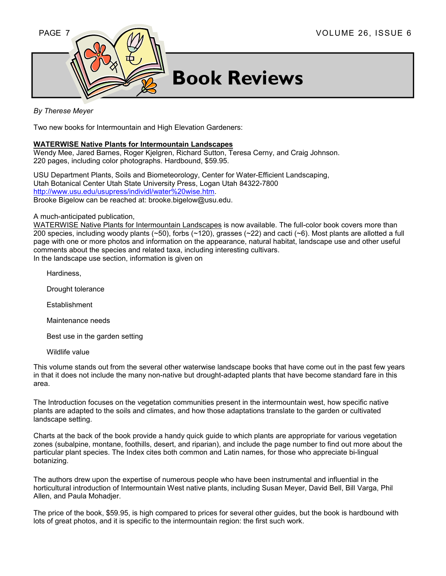

## **Book Reviews**

#### *By Therese Meyer*

Two new books for Intermountain and High Elevation Gardeners:

#### **WATERWISE Native Plants for Intermountain Landscapes**

Wendy Mee, Jared Barnes, Roger Kjelgren, Richard Sutton, Teresa Cerny, and Craig Johnson. 220 pages, including color photographs. Hardbound, \$59.95.

USU Department Plants, Soils and Biometeorology, Center for Water-Efficient Landscaping, Utah Botanical Center Utah State University Press, Logan Utah 84322-7800 http://www.usu.edu/usupress/individl/water%20wise.htm. Brooke Bigelow can be reached at: brooke.bigelow@usu.edu.

#### A much-anticipated publication,

WATERWISE Native Plants for Intermountain Landscapes is now available. The full-color book covers more than 200 species, including woody plants (~50), forbs (~120), grasses (~22) and cacti (~6). Most plants are allotted a full page with one or more photos and information on the appearance, natural habitat, landscape use and other useful comments about the species and related taxa, including interesting cultivars. In the landscape use section, information is given on

- Hardiness,
- Drought tolerance
- **Establishment**
- Maintenance needs
- Best use in the garden setting
- Wildlife value

This volume stands out from the several other waterwise landscape books that have come out in the past few years in that it does not include the many non-native but drought-adapted plants that have become standard fare in this area.

The Introduction focuses on the vegetation communities present in the intermountain west, how specific native plants are adapted to the soils and climates, and how those adaptations translate to the garden or cultivated landscape setting.

Charts at the back of the book provide a handy quick guide to which plants are appropriate for various vegetation zones (subalpine, montane, foothills, desert, and riparian), and include the page number to find out more about the particular plant species. The Index cites both common and Latin names, for those who appreciate bi-lingual botanizing.

The authors drew upon the expertise of numerous people who have been instrumental and influential in the horticultural introduction of Intermountain West native plants, including Susan Meyer, David Bell, Bill Varga, Phil Allen, and Paula Mohadjer.

The price of the book, \$59.95, is high compared to prices for several other guides, but the book is hardbound with lots of great photos, and it is specific to the intermountain region: the first such work.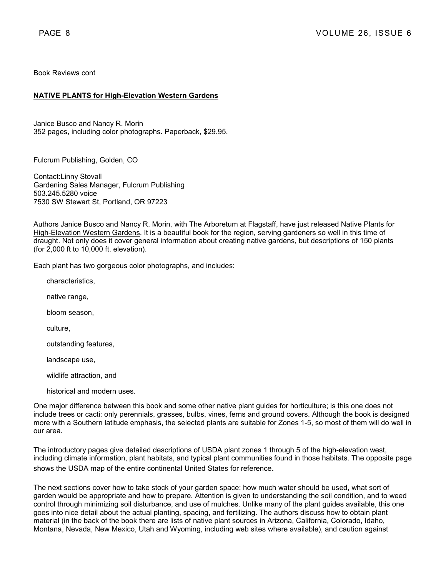Book Reviews cont

#### **NATIVE PLANTS for High-Elevation Western Gardens**

Janice Busco and Nancy R. Morin 352 pages, including color photographs. Paperback, \$29.95.

Fulcrum Publishing, Golden, CO

Contact:Linny Stovall Gardening Sales Manager, Fulcrum Publishing 503.245.5280 voice 7530 SW Stewart St, Portland, OR 97223

Authors Janice Busco and Nancy R. Morin, with The Arboretum at Flagstaff, have just released Native Plants for High-Elevation Western Gardens. It is a beautiful book for the region, serving gardeners so well in this time of draught. Not only does it cover general information about creating native gardens, but descriptions of 150 plants (for 2,000 ft to 10,000 ft. elevation).

Each plant has two gorgeous color photographs, and includes:

characteristics,

native range,

bloom season,

culture,

outstanding features,

landscape use,

wildlife attraction, and

historical and modern uses.

One major difference between this book and some other native plant guides for horticulture; is this one does not include trees or cacti: only perennials, grasses, bulbs, vines, ferns and ground covers. Although the book is designed more with a Southern latitude emphasis, the selected plants are suitable for Zones 1-5, so most of them will do well in our area.

The introductory pages give detailed descriptions of USDA plant zones 1 through 5 of the high-elevation west, including climate information, plant habitats, and typical plant communities found in those habitats. The opposite page shows the USDA map of the entire continental United States for reference.

The next sections cover how to take stock of your garden space: how much water should be used, what sort of garden would be appropriate and how to prepare. Attention is given to understanding the soil condition, and to weed control through minimizing soil disturbance, and use of mulches. Unlike many of the plant guides available, this one goes into nice detail about the actual planting, spacing, and fertilizing. The authors discuss how to obtain plant material (in the back of the book there are lists of native plant sources in Arizona, California, Colorado, Idaho, Montana, Nevada, New Mexico, Utah and Wyoming, including web sites where available), and caution against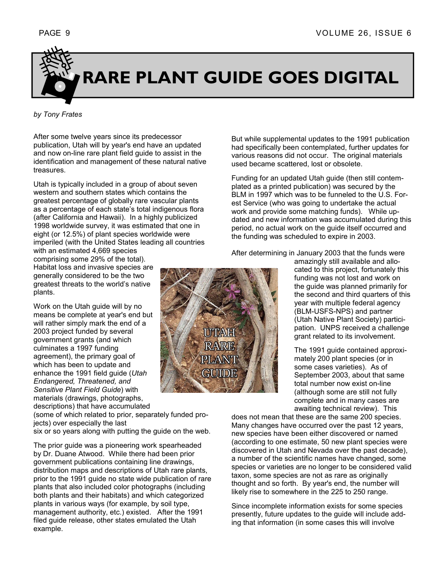

#### *by Tony Frates*

After some twelve years since its predecessor publication, Utah will by year's end have an updated and now on-line rare plant field guide to assist in the identification and management of these natural native treasures.

Utah is typically included in a group of about seven western and southern states which contains the greatest percentage of globally rare vascular plants as a percentage of each state's total indigenous flora (after California and Hawaii). In a highly publicized 1998 worldwide survey, it was estimated that one in eight (or 12.5%) of plant species worldwide were imperiled (with the United States leading all countries with an estimated 4,669 species

comprising some 29% of the total). Habitat loss and invasive species are generally considered to be the two greatest threats to the world's native plants.

Work on the Utah guide will by no means be complete at year's end but will rather simply mark the end of a 2003 project funded by several government grants (and which culminates a 1997 funding agreement), the primary goal of which has been to update and enhance the 1991 field guide (*Utah Endangered, Threatened, and Sensitive Plant Field Guide*) with materials (drawings, photographs,

descriptions) that have accumulated

(some of which related to prior, separately funded projects) over especially the last

six or so years along with putting the guide on the web.

The prior guide was a pioneering work spearheaded by Dr. Duane Atwood. While there had been prior government publications containing line drawings, distribution maps and descriptions of Utah rare plants, prior to the 1991 guide no state wide publication of rare plants that also included color photographs (including both plants and their habitats) and which categorized plants in various ways (for example, by soil type, management authority, etc.) existed. After the 1991 filed guide release, other states emulated the Utah example.



But while supplemental updates to the 1991 publication had specifically been contemplated, further updates for various reasons did not occur. The original materials used became scattered, lost or obsolete.

Funding for an updated Utah guide (then still contemplated as a printed publication) was secured by the BLM in 1997 which was to be funneled to the U.S. Forest Service (who was going to undertake the actual work and provide some matching funds). While updated and new information was accumulated during this period, no actual work on the guide itself occurred and the funding was scheduled to expire in 2003.

After determining in January 2003 that the funds were

amazingly still available and allocated to this project, fortunately this funding was not lost and work on the guide was planned primarily for the second and third quarters of this year with multiple federal agency (BLM-USFS-NPS) and partner (Utah Native Plant Society) participation. UNPS received a challenge grant related to its involvement.

The 1991 guide contained approximately 200 plant species (or in some cases varieties). As of September 2003, about that same total number now exist on-line (although some are still not fully complete and in many cases are awaiting technical review). This

does not mean that these are the same 200 species. Many changes have occurred over the past 12 years, new species have been either discovered or named (according to one estimate, 50 new plant species were discovered in Utah and Nevada over the past decade), a number of the scientific names have changed, some species or varieties are no longer to be considered valid taxon, some species are not as rare as originally thought and so forth. By year's end, the number will likely rise to somewhere in the 225 to 250 range.

Since incomplete information exists for some species presently, future updates to the guide will include adding that information (in some cases this will involve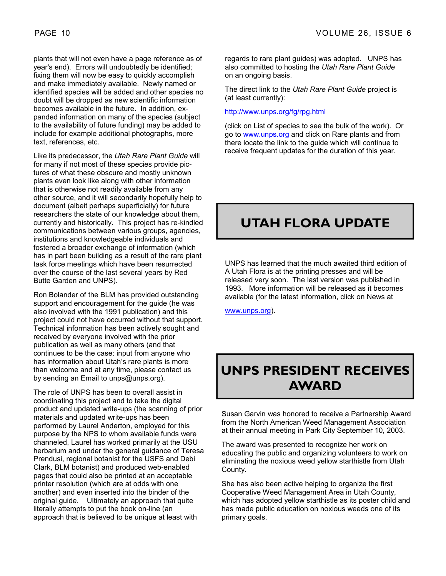plants that will not even have a page reference as of year's end). Errors will undoubtedly be identified; fixing them will now be easy to quickly accomplish and make immediately available. Newly named or identified species will be added and other species no doubt will be dropped as new scientific information becomes available in the future. In addition, expanded information on many of the species (subject to the availability of future funding) may be added to include for example additional photographs, more text, references, etc.

Like its predecessor, the *Utah Rare Plant Guide* will for many if not most of these species provide pictures of what these obscure and mostly unknown plants even look like along with other information that is otherwise not readily available from any other source, and it will secondarily hopefully help to document (albeit perhaps superficially) for future researchers the state of our knowledge about them, currently and historically. This project has re-kindled communications between various groups, agencies, institutions and knowledgeable individuals and fostered a broader exchange of information (which has in part been building as a result of the rare plant task force meetings which have been resurrected over the course of the last several years by Red Butte Garden and UNPS).

Ron Bolander of the BLM has provided outstanding support and encouragement for the guide (he was also involved with the 1991 publication) and this project could not have occurred without that support. Technical information has been actively sought and received by everyone involved with the prior publication as well as many others (and that continues to be the case: input from anyone who has information about Utah's rare plants is more than welcome and at any time, please contact us by sending an Email to unps@unps.org).

The role of UNPS has been to overall assist in coordinating this project and to take the digital product and updated write-ups (the scanning of prior materials and updated write-ups has been performed by Laurel Anderton, employed for this purpose by the NPS to whom available funds were channeled, Laurel has worked primarily at the USU herbarium and under the general guidance of Teresa Prendusi, regional botanist for the USFS and Debi Clark, BLM botanist) and produced web-enabled pages that could also be printed at an acceptable printer resolution (which are at odds with one another) and even inserted into the binder of the original guide. Ultimately an approach that quite literally attempts to put the book on-line (an approach that is believed to be unique at least with

regards to rare plant guides) was adopted. UNPS has also committed to hosting the *Utah Rare Plant Guide* on an ongoing basis.

The direct link to the *Utah Rare Plant Guide* project is (at least currently):

#### http://www.unps.org/fg/rpg.html

(click on List of species to see the bulk of the work). Or go to www.unps.org and click on Rare plants and from there locate the link to the guide which will continue to receive frequent updates for the duration of this year.

## **UTAH FLORA UPDATE**

UNPS has learned that the much awaited third edition of A Utah Flora is at the printing presses and will be released very soon. The last version was published in 1993. More information will be released as it becomes available (for the latest information, click on News at

www.unps.org).

## **UNPS PRESIDENT RECEIVES AWARD**

Susan Garvin was honored to receive a Partnership Award from the North American Weed Management Association at their annual meeting in Park City September 10, 2003.

The award was presented to recognize her work on educating the public and organizing volunteers to work on eliminating the noxious weed yellow starthistle from Utah County.

She has also been active helping to organize the first Cooperative Weed Management Area in Utah County, which has adopted yellow starthistle as its poster child and has made public education on noxious weeds one of its primary goals.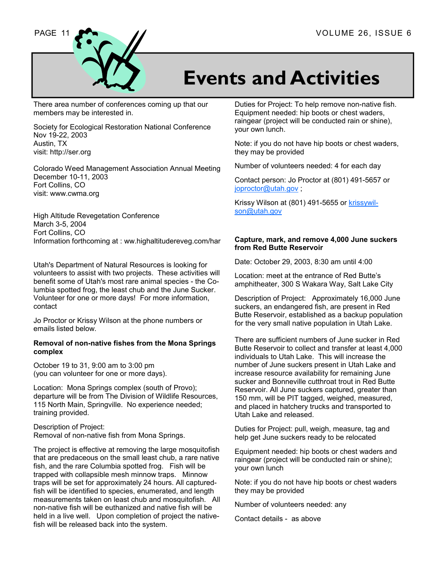

## **Events and Activities**

There area number of conferences coming up that our members may be interested in.

Society for Ecological Restoration National Conference Nov 19-22, 2003 Austin, TX visit: http://ser.org

Colorado Weed Management Association Annual Meeting December 10-11, 2003 Fort Collins, CO visit: www.cwma.org

High Altitude Revegetation Conference March 3-5, 2004 Fort Collins, CO Information forthcoming at : ww.highaltitudereveg.com/har

Utah's Department of Natural Resources is looking for volunteers to assist with two projects. These activities will benefit some of Utah's most rare animal species - the Columbia spotted frog, the least chub and the June Sucker. Volunteer for one or more days! For more information, contact

Jo Proctor or Krissy Wilson at the phone numbers or emails listed below.

#### **Removal of non-native fishes from the Mona Springs complex**

October 19 to 31, 9:00 am to 3:00 pm (you can volunteer for one or more days).

Location: Mona Springs complex (south of Provo); departure will be from The Division of Wildlife Resources, 115 North Main, Springville. No experience needed; training provided.

Description of Project: Removal of non-native fish from Mona Springs.

The project is effective at removing the large mosquitofish that are predaceous on the small least chub, a rare native fish, and the rare Columbia spotted frog. Fish will be trapped with collapsible mesh minnow traps. Minnow traps will be set for approximately 24 hours. All capturedfish will be identified to species, enumerated, and length measurements taken on least chub and mosquitofish. All non-native fish will be euthanized and native fish will be held in a live well. Upon completion of project the nativefish will be released back into the system.

Duties for Project: To help remove non-native fish. Equipment needed: hip boots or chest waders, raingear (project will be conducted rain or shine), your own lunch.

Note: if you do not have hip boots or chest waders, they may be provided

Number of volunteers needed: 4 for each day

Contact person: Jo Proctor at (801) 491-5657 or joproctor@utah.gov ;

Krissy Wilson at (801) 491-5655 or krissywilson@utah.gov

#### **Capture, mark, and remove 4,000 June suckers from Red Butte Reservoir**

Date: October 29, 2003, 8:30 am until 4:00

Location: meet at the entrance of Red Butte's amphitheater, 300 S Wakara Way, Salt Lake City

Description of Project: Approximately 16,000 June suckers, an endangered fish, are present in Red Butte Reservoir, established as a backup population for the very small native population in Utah Lake.

There are sufficient numbers of June sucker in Red Butte Reservoir to collect and transfer at least 4,000 individuals to Utah Lake. This will increase the number of June suckers present in Utah Lake and increase resource availability for remaining June sucker and Bonneville cutthroat trout in Red Butte Reservoir. All June suckers captured, greater than 150 mm, will be PIT tagged, weighed, measured, and placed in hatchery trucks and transported to Utah Lake and released.

Duties for Project: pull, weigh, measure, tag and help get June suckers ready to be relocated

Equipment needed: hip boots or chest waders and raingear (project will be conducted rain or shine); your own lunch

Note: if you do not have hip boots or chest waders they may be provided

Number of volunteers needed: any

Contact details - as above